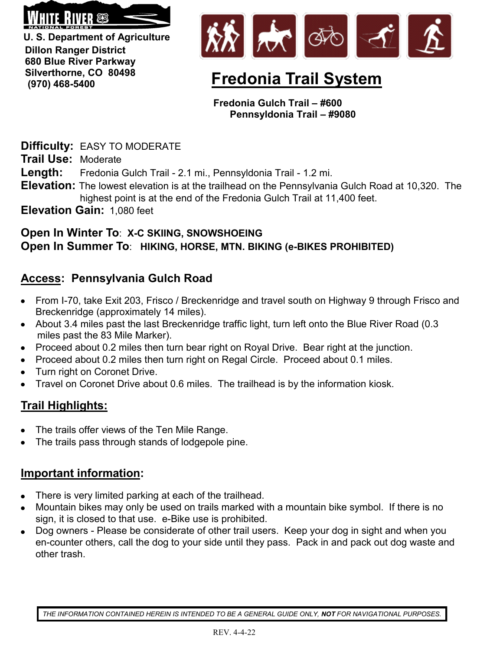

**U. S. Department of Agriculture Dillon Ranger District 680 Blue River Parkway Silverthorne, CO 80498 (970) 468-5400**



# **Fredonia Trail System**

**Fredonia Gulch Trail – #600 Pennsyldonia Trail – #9080** 

**Difficulty:** EASY TO MODERATE

**Trail Use:** Moderate

**Length:** Fredonia Gulch Trail - 2.1 mi., Pennsyldonia Trail - 1.2 mi.

- **Elevation:** The lowest elevation is at the trailhead on the Pennsylvania Gulch Road at 10,320. The highest point is at the end of the Fredonia Gulch Trail at 11,400 feet.
- **Elevation Gain:** 1,080 feet

#### **Open In Winter To**: **X-C SKIING, SNOWSHOEING Open In Summer To**: **HIKING, HORSE, MTN. BIKING (e-BIKES PROHIBITED)**

## **Access: Pennsylvania Gulch Road**

- From I-70, take Exit 203, Frisco / Breckenridge and travel south on Highway 9 through Frisco and Breckenridge (approximately 14 miles).
- About 3.4 miles past the last Breckenridge traffic light, turn left onto the Blue River Road (0.3 miles past the 83 Mile Marker).
- Proceed about 0.2 miles then turn bear right on Royal Drive. Bear right at the junction.
- Proceed about 0.2 miles then turn right on Regal Circle. Proceed about 0.1 miles.
- Turn right on Coronet Drive.
- Travel on Coronet Drive about 0.6 miles. The trailhead is by the information kiosk.

# **Trail Highlights:**

- The trails offer views of the Ten Mile Range.
- The trails pass through stands of lodgepole pine.

## **Important information:**

- There is very limited parking at each of the trailhead.
- Mountain bikes may only be used on trails marked with a mountain bike symbol. If there is no sign, it is closed to that use. e-Bike use is prohibited.
- Dog owners Please be considerate of other trail users. Keep your dog in sight and when you en-counter others, call the dog to your side until they pass. Pack in and pack out dog waste and other trash.

*THE INFORMATION CONTAINED HEREIN IS INTENDED TO BE A GENERAL GUIDE ONLY, NOT FOR NAVIGATIONAL PURPOSES.*